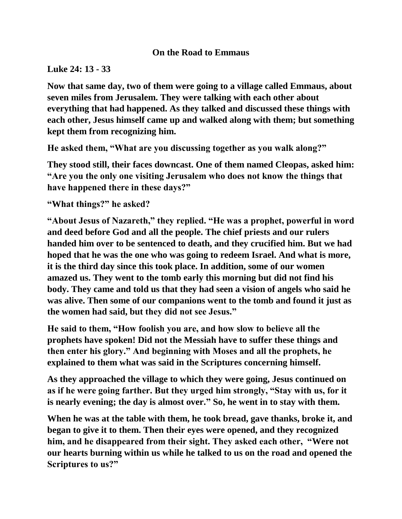## **On the Road to Emmaus**

## **Luke 24: 13 - 33**

**Now that same day, two of them were going to a village called Emmaus, about seven miles from Jerusalem. They were talking with each other about everything that had happened. As they talked and discussed these things with each other, Jesus himself came up and walked along with them; but something kept them from recognizing him.**

**He asked them, "What are you discussing together as you walk along?"**

**They stood still, their faces downcast. One of them named Cleopas, asked him: "Are you the only one visiting Jerusalem who does not know the things that have happened there in these days?"**

**"What things?" he asked?**

**"About Jesus of Nazareth," they replied. "He was a prophet, powerful in word and deed before God and all the people. The chief priests and our rulers handed him over to be sentenced to death, and they crucified him. But we had hoped that he was the one who was going to redeem Israel. And what is more, it is the third day since this took place. In addition, some of our women amazed us. They went to the tomb early this morning but did not find his body. They came and told us that they had seen a vision of angels who said he was alive. Then some of our companions went to the tomb and found it just as the women had said, but they did not see Jesus."**

**He said to them, "How foolish you are, and how slow to believe all the prophets have spoken! Did not the Messiah have to suffer these things and then enter his glory." And beginning with Moses and all the prophets, he explained to them what was said in the Scriptures concerning himself.**

**As they approached the village to which they were going, Jesus continued on as if he were going farther. But they urged him strongly, "Stay with us, for it is nearly evening; the day is almost over." So, he went in to stay with them.**

**When he was at the table with them, he took bread, gave thanks, broke it, and began to give it to them. Then their eyes were opened, and they recognized him, and he disappeared from their sight. They asked each other, "Were not our hearts burning within us while he talked to us on the road and opened the Scriptures to us?"**